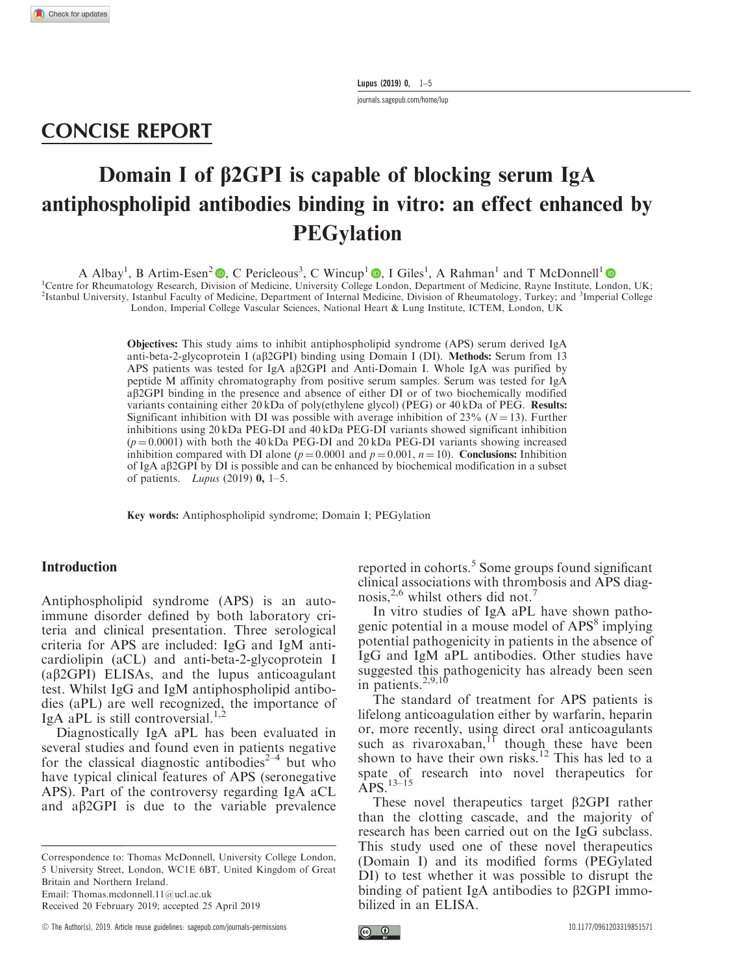Lupus (2019) 0, 1–5

<journals.sagepub.com/home/lup>

## CONCISE REPORT

# Domain I of  $\beta$ 2GPI is capable of blocking serum IgA antiphospholipid antibodies binding in vitro: an effect enhanced by **PEGylation**

A Albay<sup>1</sup>[,](https://orcid.org/0000-0002-8742-8311) B Artim-Esen<sup>2</sup> **.** C Pericleous<sup>3</sup>, C Wincup<sup>1</sup> **.** I Giles<sup>1</sup>, A Rahman<sup>1</sup> and T McDonnell<sup>1</sup> <sup>1</sup>Centre for Rheumatology Research, Division of Medicine, University College London, Department of Medicine, Rayne Institute, London, UK; <sup>2</sup>Istanbul University, Istanbul Faculty of Medicine, Department of Internal Medicine, Division of Rheumatology, Turkey; and <sup>3</sup>Imperial College London, Imperial College Vascular Sciences, National Heart & Lung Institute, ICTEM, London, UK

> Objectives: This study aims to inhibit antiphospholipid syndrome (APS) serum derived IgA anti-beta-2-glycoprotein I (a $\beta$ 2GPI) binding using Domain I (DI). **Methods:** Serum from 13 APS patients was tested for IgA a $\beta$ 2GPI and Anti-Domain I. Whole IgA was purified by peptide M affinity chromatography from positive serum samples. Serum was tested for IgA ab2GPI binding in the presence and absence of either DI or of two biochemically modified variants containing either 20 kDa of poly(ethylene glycol) (PEG) or 40 kDa of PEG. Results: Significant inhibition with DI was possible with average inhibition of  $23\%$  ( $N = 13$ ). Further inhibitions using 20 kDa PEG-DI and 40 kDa PEG-DI variants showed significant inhibition  $(p = 0.0001)$  with both the 40 kDa PEG-DI and 20 kDa PEG-DI variants showing increased inhibition compared with DI alone ( $p = 0.0001$  and  $p = 0.001$ ,  $n = 10$ ). Conclusions: Inhibition of IgA ab2GPI by DI is possible and can be enhanced by biochemical modification in a subset of patients. *Lupus* (2019)  $\mathbf{0}$ , 1–5.

Key words: Antiphospholipid syndrome; Domain I; PEGylation

#### Introduction

Antiphospholipid syndrome (APS) is an autoimmune disorder defined by both laboratory criteria and clinical presentation. Three serological criteria for APS are included: IgG and IgM anticardiolipin (aCL) and anti-beta-2-glycoprotein I (ab2GPI) ELISAs, and the lupus anticoagulant test. Whilst IgG and IgM antiphospholipid antibodies (aPL) are well recognized, the importance of IgA aPL is still controversial. $^{1,2}$ 

Diagnostically IgA aPL has been evaluated in several studies and found even in patients negative for the classical diagnostic antibodies<sup>2-4</sup> but who have typical clinical features of APS (seronegative APS). Part of the controversy regarding IgA aCL and  $a\beta 2GPI$  is due to the variable prevalence

Correspondence to: Thomas McDonnell, University College London, 5 University Street, London, WC1E 6BT, United Kingdom of Great Britain and Northern Ireland. Email: Thomas.mcdonnell.11@ucl.ac.uk

Received 20 February 2019; accepted 25 April 2019

reported in cohorts.<sup>5</sup> Some groups found significant clinical associations with thrombosis and APS diagnosis,<sup>2,6</sup> whilst others did not.<sup>7</sup>

In vitro studies of IgA aPL have shown pathogenic potential in a mouse model of APS<sup>8</sup> implying potential pathogenicity in patients in the absence of IgG and IgM aPL antibodies. Other studies have suggested this pathogenicity has already been seen in patients. $2,9,10$ 

The standard of treatment for APS patients is lifelong anticoagulation either by warfarin, heparin or, more recently, using direct oral anticoagulants such as rivaroxaban, $11$  though these have been shown to have their own risks.<sup>12</sup> This has led to a spate of research into novel therapeutics for APS.13–15

These novel therapeutics target  $\beta$ 2GPI rather than the clotting cascade, and the majority of research has been carried out on the IgG subclass. This study used one of these novel therapeutics (Domain I) and its modified forms (PEGylated DI) to test whether it was possible to disrupt the binding of patient IgA antibodies to  $\beta$ 2GPI immobilized in an ELISA.

<sup>!</sup> The Author(s), 2019. Article reuse guidelines: [sagepub.com/journals-permissions](https://doi.org/10.1177/0961203319851571) [10.1177/0961203319851571](https://doi.org/10.1177/0961203319851571)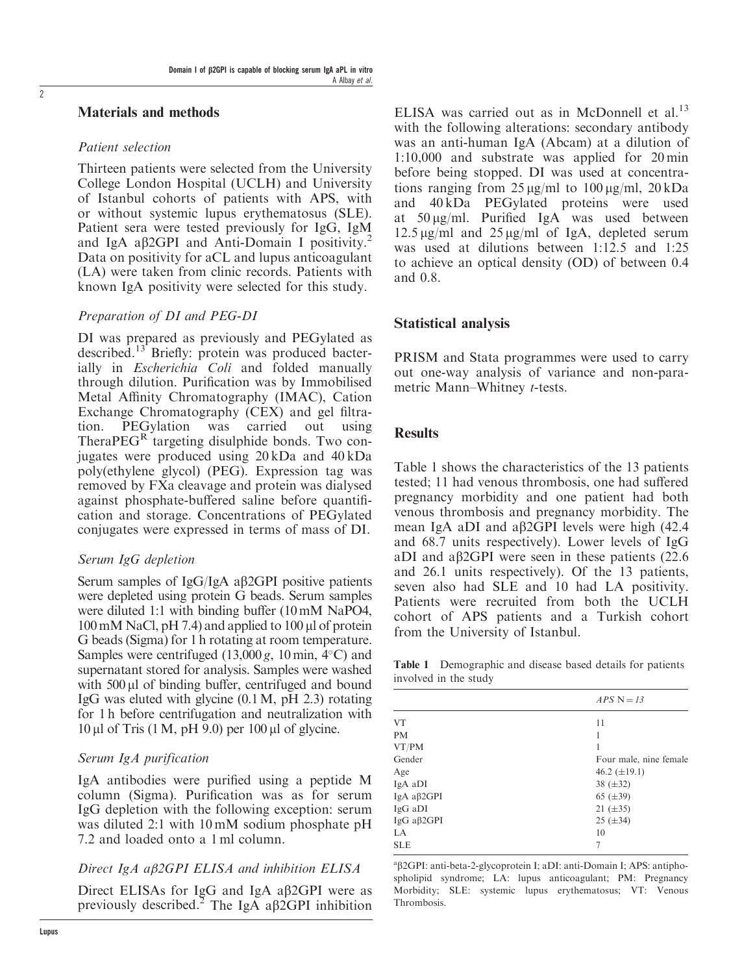#### Materials and methods

#### Patient selection

Thirteen patients were selected from the University College London Hospital (UCLH) and University of Istanbul cohorts of patients with APS, with or without systemic lupus erythematosus (SLE). Patient sera were tested previously for IgG, IgM and IgA a $\beta$ 2GPI and Anti-Domain I positivity.<sup>2</sup> Data on positivity for aCL and lupus anticoagulant (LA) were taken from clinic records. Patients with known IgA positivity were selected for this study.

#### Preparation of DI and PEG-DI

DI was prepared as previously and PEGylated as described.<sup>13</sup> Briefly: protein was produced bacterially in *Escherichia Coli* and folded manually through dilution. Purification was by Immobilised Metal Affinity Chromatography (IMAC), Cation Exchange Chromatography (CEX) and gel filtration. PEGylation was carried out using TheraPEGR targeting disulphide bonds. Two conjugates were produced using 20 kDa and 40 kDa poly(ethylene glycol) (PEG). Expression tag was removed by FXa cleavage and protein was dialysed against phosphate-buffered saline before quantification and storage. Concentrations of PEGylated conjugates were expressed in terms of mass of DI.

#### Serum IgG depletion

Serum samples of IgG/IgA a $\beta$ 2GPI positive patients were depleted using protein G beads. Serum samples were diluted 1:1 with binding buffer (10 mM NaPO4,  $100 \text{ mM NaCl}, \text{pH } 7.4$ ) and applied to  $100 \mu$ l of protein G beads (Sigma) for 1 h rotating at room temperature. Samples were centrifuged  $(13,000 g, 10 min, 4°C)$  and supernatant stored for analysis. Samples were washed with  $500 \mu l$  of binding buffer, centrifuged and bound IgG was eluted with glycine (0.1M, pH 2.3) rotating for 1 h before centrifugation and neutralization with  $10 \mu l$  of Tris (1 M, pH 9.0) per  $100 \mu l$  of glycine.

#### Serum IgA purification

IgA antibodies were purified using a peptide M column (Sigma). Purification was as for serum IgG depletion with the following exception: serum was diluted 2:1 with 10 mM sodium phosphate pH 7.2 and loaded onto a 1 ml column.

#### Direct IgA aß2GPI ELISA and inhibition ELISA

Direct ELISAs for IgG and IgA a $\beta$ 2GPI were as previously described.<sup>2</sup> The IgA a $\beta$ 2GPI inhibition

ELISA was carried out as in McDonnell et al.<sup>13</sup> with the following alterations: secondary antibody was an anti-human IgA (Abcam) at a dilution of 1:10,000 and substrate was applied for 20 min before being stopped. DI was used at concentrations ranging from  $25 \mu g/ml$  to  $100 \mu g/ml$ ,  $20 \kappa Da$ and 40 kDa PEGylated proteins were used at  $50 \mu g/ml$ . Purified IgA was used between  $12.5 \,\mu$ g/ml and  $25 \,\mu$ g/ml of IgA, depleted serum was used at dilutions between 1:12.5 and 1:25 to achieve an optical density (OD) of between 0.4 and 0.8.

#### Statistical analysis

PRISM and Stata programmes were used to carry out one-way analysis of variance and non-parametric Mann–Whitney t-tests.

#### **Results**

Table 1 shows the characteristics of the 13 patients tested; 11 had venous thrombosis, one had suffered pregnancy morbidity and one patient had both venous thrombosis and pregnancy morbidity. The mean IgA aDI and a $\beta$ 2GPI levels were high (42.4) and 68.7 units respectively). Lower levels of IgG aDI and a $\beta$ 2GPI were seen in these patients (22.6) and 26.1 units respectively). Of the 13 patients, seven also had SLE and 10 had LA positivity. Patients were recruited from both the UCLH cohort of APS patients and a Turkish cohort from the University of Istanbul.

Table 1 Demographic and disease based details for patients involved in the study

|                   | $APS N = 13$           |
|-------------------|------------------------|
| <b>VT</b>         | 11                     |
| <b>PM</b>         |                        |
| VT/PM             |                        |
| Gender            | Four male, nine female |
| Age               | 46.2 $(\pm 19.1)$      |
| IgA aDI           | 38 $(\pm 32)$          |
| IgA $a\beta 2GPI$ | 65 $(\pm 39)$          |
| IgG aDI           | 21 $(\pm 35)$          |
| IgG aβ2GPI        | $25 (\pm 34)$          |
| LA                | 10                     |
| <b>SLE</b>        | 7                      |

<sup>a</sup>β2GPI: anti-beta-2-glycoprotein I; aDI: anti-Domain I; APS: antiphospholipid syndrome; LA: lupus anticoagulant; PM: Pregnancy Morbidity; SLE: systemic lupus erythematosus; VT: Venous **Thrombosis**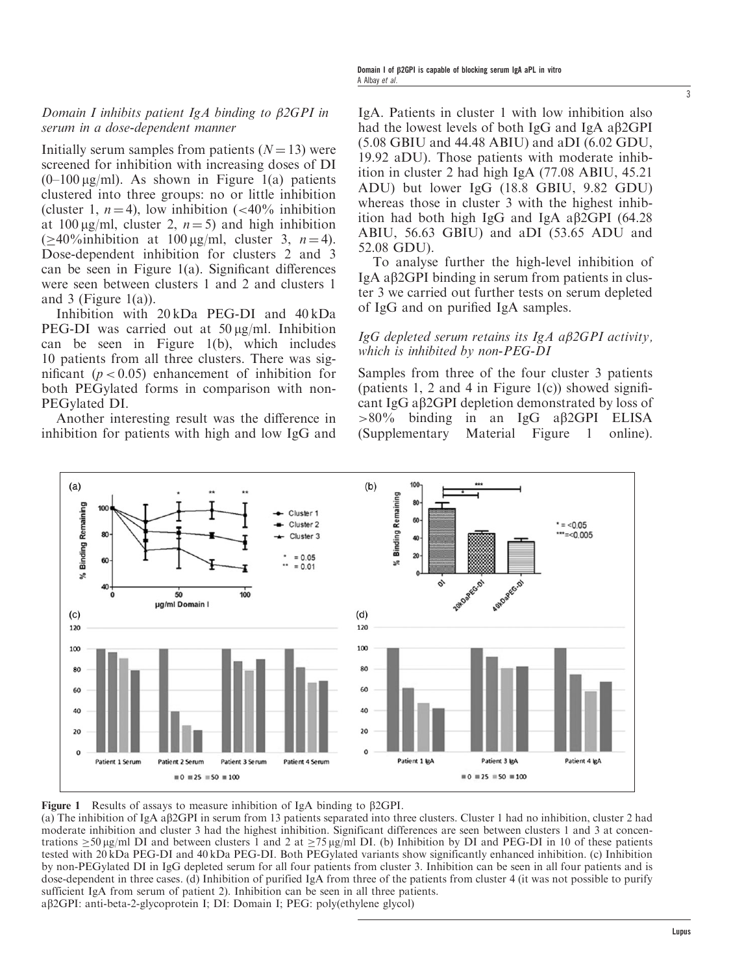#### Domain I inhibits patient IgA binding to  $\beta$ 2GPI in serum in a dose-dependent manner

Initially serum samples from patients  $(N = 13)$  were screened for inhibition with increasing doses of DI  $(0-100 \,\mu g/ml)$ . As shown in Figure 1(a) patients clustered into three groups: no or little inhibition (cluster 1,  $n = 4$ ), low inhibition (<40% inhibition at 100  $\mu$ g/ml, cluster 2,  $n = 5$ ) and high inhibition  $(>40\%$ inhibition at 100 µg/ml, cluster 3,  $n = 4$ ). Dose-dependent inhibition for clusters 2 and 3 can be seen in Figure 1(a). Significant differences were seen between clusters 1 and 2 and clusters 1 and 3 (Figure 1(a)).

Inhibition with 20 kDa PEG-DI and 40 kDa PEG-DI was carried out at  $50 \mu g/ml$ . Inhibition can be seen in Figure 1(b), which includes 10 patients from all three clusters. There was significant ( $p < 0.05$ ) enhancement of inhibition for both PEGylated forms in comparison with non-PEGylated DI.

Another interesting result was the difference in inhibition for patients with high and low IgG and IgA. Patients in cluster 1 with low inhibition also had the lowest levels of both IgG and IgA a<sub>b2GPI</sub> (5.08 GBIU and 44.48 ABIU) and aDI (6.02 GDU, 19.92 aDU). Those patients with moderate inhibition in cluster 2 had high IgA (77.08 ABIU, 45.21 ADU) but lower IgG (18.8 GBIU, 9.82 GDU) whereas those in cluster 3 with the highest inhibition had both high IgG and IgA a $\beta$ 2GPI (64.28) ABIU, 56.63 GBIU) and aDI (53.65 ADU and 52.08 GDU).

To analyse further the high-level inhibition of IgA ab2GPI binding in serum from patients in cluster 3 we carried out further tests on serum depleted of IgG and on purified IgA samples.

#### IgG depleted serum retains its IgA a $\beta$ 2GPI activity, which is inhibited by non-PEG-DI

Samples from three of the four cluster 3 patients (patients 1, 2 and 4 in Figure 1(c)) showed significant IgG ab2GPI depletion demonstrated by loss of  $>80\%$  binding in an IgG a $\beta$ 2GPI ELISA (Supplementary Material Figure 1 online).





(a) The inhibition of IgA ab2GPI in serum from 13 patients separated into three clusters. Cluster 1 had no inhibition, cluster 2 had moderate inhibition and cluster 3 had the highest inhibition. Significant differences are seen between clusters 1 and 3 at concentrations  $\geq$  50  $\mu$ g/ml DI and between clusters 1 and 2 at  $\geq$  75  $\mu$ g/ml DI. (b) Inhibition by DI and PEG-DI in 10 of these patients tested with 20 kDa PEG-DI and 40 kDa PEG-DI. Both PEGylated variants show significantly enhanced inhibition. (c) Inhibition by non-PEGylated DI in IgG depleted serum for all four patients from cluster 3. Inhibition can be seen in all four patients and is dose-dependent in three cases. (d) Inhibition of purified IgA from three of the patients from cluster 4 (it was not possible to purify sufficient IgA from serum of patient 2). Inhibition can be seen in all three patients. aβ2GPI: anti-beta-2-glycoprotein I; DI: Domain I; PEG: poly(ethylene glycol)

3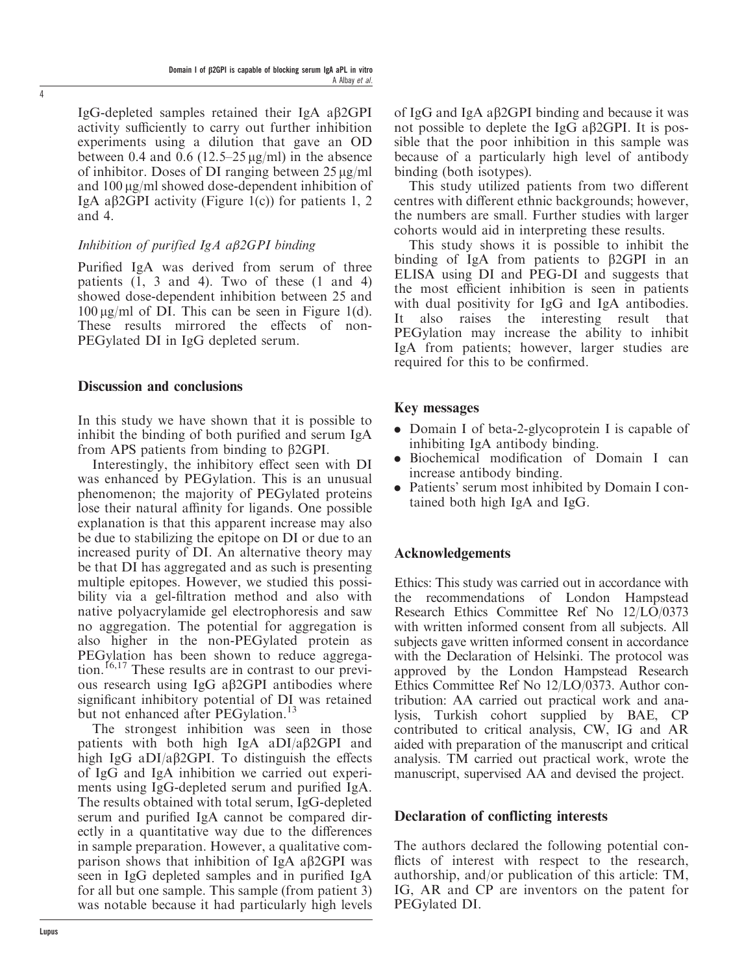IgG-depleted samples retained their IgA ab2GPI activity sufficiently to carry out further inhibition experiments using a dilution that gave an OD between 0.4 and 0.6 (12.5–25  $\mu$ g/ml) in the absence of inhibitor. Doses of DI ranging between  $25 \mu g/ml$ and 100 µg/ml showed dose-dependent inhibition of IgA a $\beta$ 2GPI activity (Figure 1(c)) for patients 1, 2 and 4.

#### Inhibition of purified  $IgA$  a $\beta$ 2GPI binding

Purified IgA was derived from serum of three patients (1, 3 and 4). Two of these (1 and 4) showed dose-dependent inhibition between 25 and  $100 \mu g/ml$  of DI. This can be seen in Figure 1(d). These results mirrored the effects of non-PEGylated DI in IgG depleted serum.

#### Discussion and conclusions

In this study we have shown that it is possible to inhibit the binding of both purified and serum IgA from APS patients from binding to  $\beta$ 2GPI.

Interestingly, the inhibitory effect seen with DI was enhanced by PEGylation. This is an unusual phenomenon; the majority of PEGylated proteins lose their natural affinity for ligands. One possible explanation is that this apparent increase may also be due to stabilizing the epitope on DI or due to an increased purity of DI. An alternative theory may be that DI has aggregated and as such is presenting multiple epitopes. However, we studied this possibility via a gel-filtration method and also with native polyacrylamide gel electrophoresis and saw no aggregation. The potential for aggregation is also higher in the non-PEGylated protein as PEGylation has been shown to reduce aggregation.<sup>16,17</sup> These results are in contrast to our previous research using  $I \nsubseteq G$  a $\beta$ 2GPI antibodies where significant inhibitory potential of DI was retained but not enhanced after PEGylation.<sup>13</sup>

The strongest inhibition was seen in those patients with both high IgA aDI/a $\beta$ 2GPI and high IgG aDI/a $\beta$ 2GPI. To distinguish the effects of IgG and IgA inhibition we carried out experiments using IgG-depleted serum and purified IgA. The results obtained with total serum, IgG-depleted serum and purified IgA cannot be compared directly in a quantitative way due to the differences in sample preparation. However, a qualitative comparison shows that inhibition of IgA a $\beta$ 2GPI was seen in IgG depleted samples and in purified IgA for all but one sample. This sample (from patient 3) was notable because it had particularly high levels

of IgG and IgA a $\beta$ 2GPI binding and because it was not possible to deplete the IgG a $\beta$ 2GPI. It is possible that the poor inhibition in this sample was because of a particularly high level of antibody binding (both isotypes).

This study utilized patients from two different centres with different ethnic backgrounds; however, the numbers are small. Further studies with larger cohorts would aid in interpreting these results.

This study shows it is possible to inhibit the binding of IgA from patients to  $\beta$ 2GPI in an ELISA using DI and PEG-DI and suggests that the most efficient inhibition is seen in patients with dual positivity for IgG and IgA antibodies. It also raises the interesting result that PEGylation may increase the ability to inhibit IgA from patients; however, larger studies are required for this to be confirmed.

#### Key messages

- . Domain I of beta-2-glycoprotein I is capable of inhibiting IgA antibody binding.
- . Biochemical modification of Domain I can increase antibody binding.
- . Patients' serum most inhibited by Domain I contained both high IgA and IgG.

#### Acknowledgements

Ethics: This study was carried out in accordance with the recommendations of London Hampstead Research Ethics Committee Ref No 12/LO/0373 with written informed consent from all subjects. All subjects gave written informed consent in accordance with the Declaration of Helsinki. The protocol was approved by the London Hampstead Research Ethics Committee Ref No 12/LO/0373. Author contribution: AA carried out practical work and analysis, Turkish cohort supplied by BAE, CP contributed to critical analysis, CW, IG and AR aided with preparation of the manuscript and critical analysis. TM carried out practical work, wrote the manuscript, supervised AA and devised the project.

#### Declaration of conflicting interests

The authors declared the following potential conflicts of interest with respect to the research, authorship, and/or publication of this article: TM, IG, AR and CP are inventors on the patent for PEGylated DI.

4